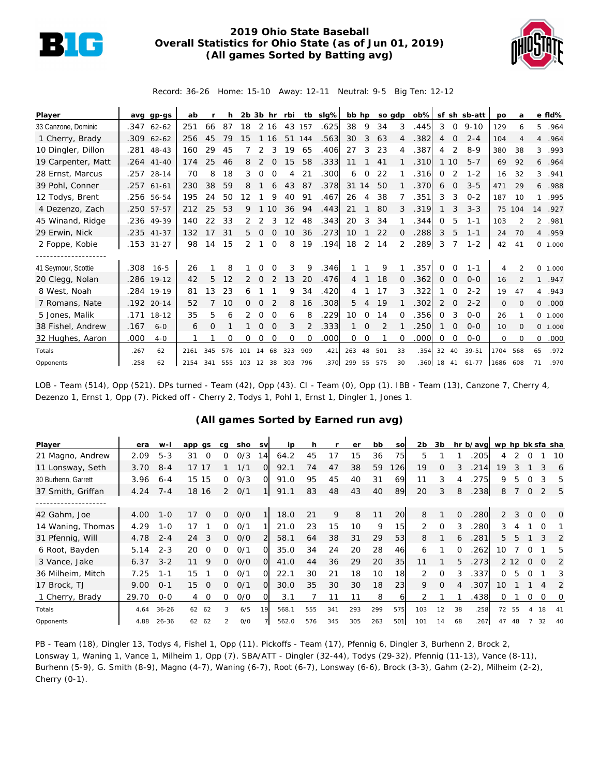

## **2019 Ohio State Baseball Overall Statistics for Ohio State (as of Jun 01, 2019) (All games Sorted by Batting avg)**



Record: 36-26 Home: 15-10 Away: 12-11 Neutral: 9-5 Big Ten: 12-12

| Player              | avq  | $qp-gs$      | ab   |     |     |     | $2b$ $3b$ hr |          | rbi      |          | tb sig% | bb hp          |          |     | so gdp         | $\mathsf{ob} \%$ |          |           | sf sh sb-att | po      | a                        |                | e fld%  |
|---------------------|------|--------------|------|-----|-----|-----|--------------|----------|----------|----------|---------|----------------|----------|-----|----------------|------------------|----------|-----------|--------------|---------|--------------------------|----------------|---------|
| 33 Canzone, Dominic | .347 | $62 - 62$    | 251  | 66  | 87  | 18  |              | 2 16     | 43       | 157      | .625    | 38             | 9        | 34  | 3              | .445             | 3        | $\circ$   | $9 - 10$     | 129     | 6                        | 5              | .964    |
| 1 Cherry, Brady     |      | $.309$ 62-62 | 256  | 45  | 79  | 15  |              | 16       | 51       | 144      | .563    | 30             | 3        | 63  |                | .382             | 4        | $\Omega$  | $2 - 4$      | 104     | 4                        |                | 4.964   |
| 10 Dingler, Dillon  | .281 | 48-43        | 160  | 29  | 45  |     | 2            |          | 19       | 65       | .406    | 27             | 3        | 23  | 4              | .387             | 4        |           | $8 - 9$      | 380     | 38                       | 3              | .993    |
| 19 Carpenter, Matt  |      | .264 41-40   | 174  | 25  | 46  | 8   | 2            | $\Omega$ | 15       | 58       | .333    | 11             |          | 41  |                | .310             | 1        | <b>10</b> | $5 - 7$      | 69      | 92                       |                | 6.964   |
| 28 Ernst, Marcus    |      | .257 28-14   | 70   | 8   | 18  | 3   | $\Omega$     | $\Omega$ | 4        | 21       | .300    | 6              | 0        | 22  |                | .316             | 0        |           | $1 - 2$      | 16      | 32                       | 3              | .941    |
| 39 Pohl, Conner     |      | .257 61-61   | 230  | 38  | 59  | 8   |              | 6        | 43       | 87       | .378    | 31             | 14       | 50  |                | 370              | 6        | $\Omega$  | $3 - 5$      | 471     | 29                       |                | 6.988   |
| 12 Todys, Brent     |      | .256 56-54   | 195  | 24  | 50  | 12  |              | 9        | 40       | 91       | .467    | 26             | 4        | 38  |                | .351             | 3        | 3         | $O - 2$      | 187     | 10                       | $\mathbf{1}$   | .995    |
| 4 Dezenzo, Zach     |      | .250 57-57   | 212  | 25  | 53  | 9   |              | 10       | 36       | 94       | .443    | 21             |          | 80  | 3              | .319             |          | 3         | $3 - 3$      | 75      | 104                      | 14             | .927    |
| 45 Winand, Ridge    |      | .236 49-39   | 140  | 22  | 33  | 2   |              |          | 12       | 48       | .343    | 20             | 3        | 34  |                | .344             | 0        | 5         | $1 - 1$      | 103     | $\overline{\mathcal{L}}$ | $\overline{2}$ | .981    |
| 29 Erwin, Nick      |      | .235 41-37   | 132  | 17  | 31  | 5.  | $\Omega$     | $\Omega$ | 10       | 36       | .273    | 10             |          | 22  | $\Omega$       | .288             | 3        | 5         | $1 - 1$      | 24      | 70                       |                | 4.959   |
| 2 Foppe, Kobie      | .153 | $31 - 27$    | 98   | 14  | 15  | 2   |              | $\Omega$ | 8        | 19       | .194    | 18             | 2        | 14  | 2              | 289              | 3        |           | $1 - 2$      | 42      | 41                       |                | 0 1.000 |
|                     |      |              |      |     |     |     |              |          |          |          |         |                |          |     |                |                  |          |           |              |         |                          |                |         |
| 41 Seymour, Scottie | .308 | $16 - 5$     | 26   |     | 8   |     | Ω            | ∩        | 3        | 9        | .346    |                |          | 9   |                | 357              | $\Omega$ | $\Omega$  | $1 - 1$      | 4       | $\mathcal{P}$            |                | 0 1.000 |
| 20 Clegg, Nolan     |      | .286 19-12   | 42   | 5   | 12  |     | $\Omega$     |          | 13       | 20       | .476    | $\overline{4}$ |          | 18  | $\overline{0}$ | .362             | 0        | 0         | $O - O$      | 16      | 2                        | $\mathbf{1}$   | .947    |
| 8 West, Noah        |      | .284 19-19   | 81   | 13  | 23  | 6   |              |          | 9        | 34       | .420    | 4              |          | 17  | 3              | .322             |          | $\Omega$  | $2 - 2$      | 19      | 47                       |                | 4.943   |
| 7 Romans, Nate      | .192 | $20 - 14$    | 52   |     | 10  | Ω   | O            |          | 8        | 16       | .308    | 5              | 4        | 19  |                | 302              | 2        | $\Omega$  | $2 - 2$      | $\circ$ | $\Omega$                 | $\circ$        | .000    |
| 5 Jones, Malik      | .171 | $18 - 12$    | 35   | 5   | 6   |     | $\Omega$     | $\Omega$ | 6        | 8        | .229    | 10             | 0        | 14  | ∩              | .356             | 0        | 3         | $O - O$      | 26      |                          |                | 0 1.000 |
| 38 Fishel, Andrew   | .167 | $6 - 0$      | 6    | Ο   |     |     | $\Omega$     |          | 3        | 2        | .333    |                | $\Omega$ |     |                | 250              |          | $\Omega$  | $O - O$      | 10      | 0                        |                | 0 1.000 |
| 32 Hughes, Aaron    | .000 | $4-0$        |      |     | Ω   | Ω   | O            | $\Omega$ | $\Omega$ | $\Omega$ | .000    | 0              | $\Omega$ |     | $\Omega$       | .000             | 0        | O         | $0-0$        | 0       | $\Omega$                 | 0              | .000    |
| Totals              | .267 | 62           | 2161 | 345 | 576 | 101 | 14           | 68       | 323      | 909      | .421    | 263            | 48       | 501 | 33             | .354             | 32       | 40        | 39-51        | 1704    | 568                      | 65             | .972    |
| Opponents           | .258 | 62           | 2154 | 341 | 555 | 103 | 12           | 38       | 303      | 796      | .370    | 299            | 55       | 575 | 30             | 360              | 18       | 41        | $61 - 77$    | 1686    | 608                      | 71             | .970    |

LOB - Team (514), Opp (521). DPs turned - Team (42), Opp (43). CI - Team (0), Opp (1). IBB - Team (13), Canzone 7, Cherry 4, Dezenzo 1, Ernst 1, Opp (7). Picked off - Cherry 2, Todys 1, Pohl 1, Ernst 1, Dingler 1, Jones 1.

## **(All games Sorted by Earned run avg)**

| Player              | era   | $W -$     | app gs         | ca            | sho | <b>SV</b> | ip    |     |     | er  | bb  | SO  | 2 <sub>b</sub> | 3b       |          | hr b/avg wp hp bk sfa sha |               |       |          |          |          |
|---------------------|-------|-----------|----------------|---------------|-----|-----------|-------|-----|-----|-----|-----|-----|----------------|----------|----------|---------------------------|---------------|-------|----------|----------|----------|
| 21 Magno, Andrew    | 2.09  | $5 - 3$   | 31<br>O        | 0             | 0/3 | 14        | 64.2  | 45  | 17  | 15  | 36  | 75  | 5              |          |          | 205                       | 4             |       |          |          | 10       |
| 11 Lonsway, Seth    | 3.70  | $8 - 4$   | 17<br>17       |               | 1/1 | 0         | 92.1  | 74  | 47  | 38  | 59  | 26I | 19             | $\Omega$ | 3        | 214                       | 19            |       |          | 3        | 6        |
| 30 Burhenn, Garrett | 3.96  | $6 - 4$   | 15<br>15       | 0             | 0/3 | $\Omega$  | 91.0  | 95  | 45  | 40  | 31  | 69  | 11             | 3        |          | 275                       | 9             |       |          |          | 5        |
| 37 Smith, Griffan   | 4.24  | $7 - 4$   | 18 16          | $\mathcal{P}$ | O/1 |           | 91.1  | 83  | 48  | 43  | 40  | 89  | 20             | 3        | 8        | .238                      | 8             |       | $\Omega$ |          | 5        |
|                     |       |           |                |               |     |           |       |     |     |     |     |     |                |          |          |                           |               |       |          |          |          |
| 42 Gahm, Joe        | 4.00  | $1 - 0$   | 17<br>$\Omega$ | 0             | O/O |           | 18.0  | 21  | 9   | 8   | 11  | 20  | 8              |          | $\Omega$ | 280                       | $\mathcal{P}$ | 3     | $\Omega$ | $\Omega$ | $\Omega$ |
| 14 Waning, Thomas   | 4.29  | $1 - 0$   | 17             | 0             | 0/1 |           | 21.0  | 23  | 15  | 10  | 9   | 15  | 2              | $\Omega$ | 3        | 280                       | 3             |       |          |          |          |
| 31 Pfennig, Will    | 4.78  | $2 - 4$   | 3<br>24        | $\Omega$      | O/O | 2         | 58.1  | 64  | 38  | 31  | 29  | 53  | 8              |          | 6        | .281                      | 5             | 5     |          | 3        | 2        |
| 6 Root, Bayden      | 5.14  | $2 - 3$   | 20<br>$\Omega$ | ∩             | O/1 | $\Omega$  | 35.0  | 34  | 24  | 20  | 28  | 46  | 6              |          | $\Omega$ | 262                       | 10            |       |          |          | 5        |
| 3 Vance, Jake       | 6.37  | $3 - 2$   | 9<br>11        | 0             | O/O | $\Omega$  | 41.0  | 44  | 36  | 29  | 20  | 35  | 11             |          | 5        | .273                      |               | 2 1 2 | $\Omega$ | $\Omega$ | 2        |
| 36 Milheim, Mitch   | 7.25  | $1 - 1$   | 15             | 0             | O/1 | $\Omega$  | 22.1  | 30  | 21  | 18  | 10  | 18  | 2              | $\Omega$ | 3        | .337                      | 0             | 5.    | $\Omega$ |          | 3        |
| 17 Brock, TJ        | 9.00  | $O - 1$   | 15<br>$\Omega$ | 0             | O/1 | $\Omega$  | 30.0  | 35  | 30  | 30  | 18  | 23  | 9              | $\Omega$ | 4        | .307                      | 10            |       |          | 4        | 2        |
| 1 Cherry, Brady     | 29.70 | $0 - 0$   | $\circ$<br>4   | 0             | O/O | O         | 3.1   |     | 11  | 11  | 8   | 61  |                |          |          | .438                      | 0             |       | 0        | $\Omega$ | 0        |
| Totals              | 4.64  | $36 - 26$ | 62<br>62       | 3             | 6/5 | 19        | 568.1 | 555 | 341 | 293 | 299 | 575 | 103            | 12       | 38       | .258                      | 72            | 55    | 4        | 18       | 41       |
| Opponents           | 4.88  | $26 - 36$ | 62<br>62       | $\mathcal{P}$ | O/O |           | 562.0 | 576 | 345 | 305 | 263 | 501 | 101            | 14       | 68       | .267                      | 47            |       |          | 32       | 40       |

PB - Team (18), Dingler 13, Todys 4, Fishel 1, Opp (11). Pickoffs - Team (17), Pfennig 6, Dingler 3, Burhenn 2, Brock 2, Lonsway 1, Waning 1, Vance 1, Milheim 1, Opp (7). SBA/ATT - Dingler (32-44), Todys (29-32), Pfennig (11-13), Vance (8-11), Burhenn (5-9), G. Smith (8-9), Magno (4-7), Waning (6-7), Root (6-7), Lonsway (6-6), Brock (3-3), Gahm (2-2), Milheim (2-2), Cherry (0-1).